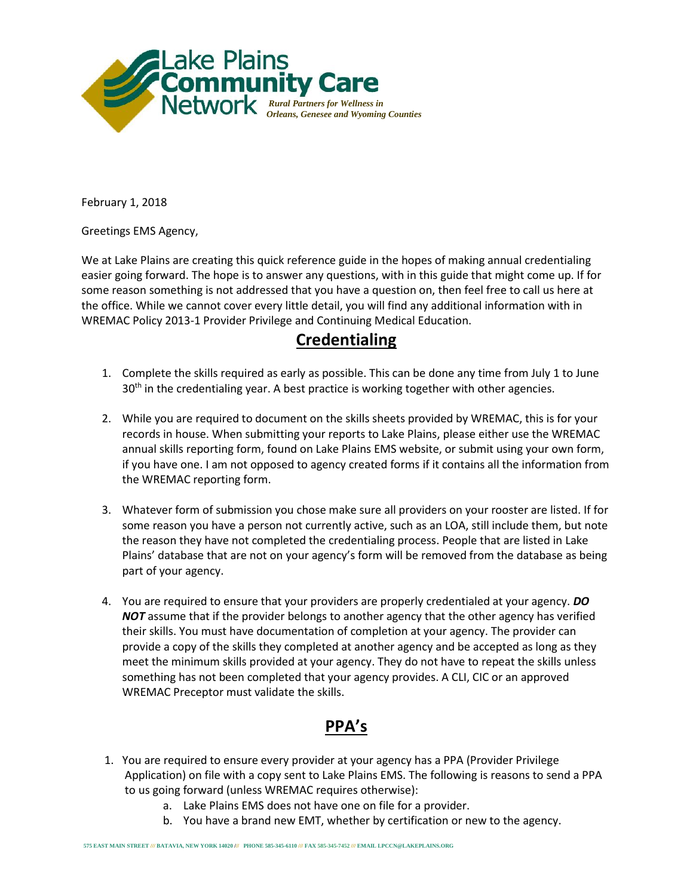

February 1, 2018

Greetings EMS Agency,

We at Lake Plains are creating this quick reference guide in the hopes of making annual credentialing easier going forward. The hope is to answer any questions, with in this guide that might come up. If for some reason something is not addressed that you have a question on, then feel free to call us here at the office. While we cannot cover every little detail, you will find any additional information with in WREMAC Policy 2013-1 Provider Privilege and Continuing Medical Education.

## **Credentialing**

- 1. Complete the skills required as early as possible. This can be done any time from July 1 to June 30<sup>th</sup> in the credentialing year. A best practice is working together with other agencies.
- 2. While you are required to document on the skills sheets provided by WREMAC, this is for your records in house. When submitting your reports to Lake Plains, please either use the WREMAC annual skills reporting form, found on Lake Plains EMS website, or submit using your own form, if you have one. I am not opposed to agency created forms if it contains all the information from the WREMAC reporting form.
- 3. Whatever form of submission you chose make sure all providers on your rooster are listed. If for some reason you have a person not currently active, such as an LOA, still include them, but note the reason they have not completed the credentialing process. People that are listed in Lake Plains' database that are not on your agency's form will be removed from the database as being part of your agency.
- 4. You are required to ensure that your providers are properly credentialed at your agency. *DO*  **NOT** assume that if the provider belongs to another agency that the other agency has verified their skills. You must have documentation of completion at your agency. The provider can provide a copy of the skills they completed at another agency and be accepted as long as they meet the minimum skills provided at your agency. They do not have to repeat the skills unless something has not been completed that your agency provides. A CLI, CIC or an approved WREMAC Preceptor must validate the skills.

## **PPA's**

- 1. You are required to ensure every provider at your agency has a PPA (Provider Privilege Application) on file with a copy sent to Lake Plains EMS. The following is reasons to send a PPA to us going forward (unless WREMAC requires otherwise):
	- a. Lake Plains EMS does not have one on file for a provider.
	- b. You have a brand new EMT, whether by certification or new to the agency.